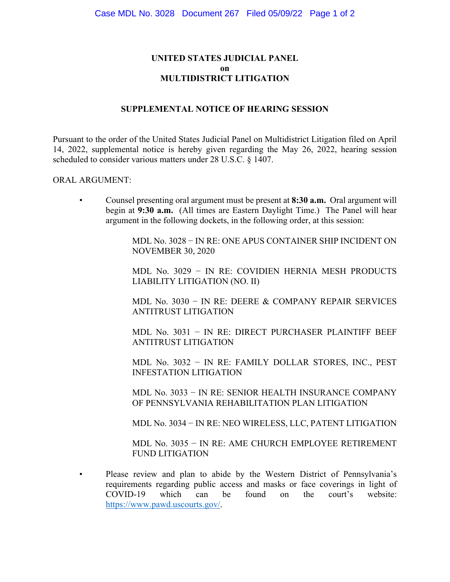## **UNITED STATES JUDICIAL PANEL on MULTIDISTRICT LITIGATION**

## **SUPPLEMENTAL NOTICE OF HEARING SESSION**

Pursuant to the order of the United States Judicial Panel on Multidistrict Litigation filed on April 14, 2022, supplemental notice is hereby given regarding the May 26, 2022, hearing session scheduled to consider various matters under 28 U.S.C. § 1407.

## ORAL ARGUMENT:

• Counsel presenting oral argument must be present at **8:30 a.m.** Oral argument will begin at **9:30 a.m.** (All times are Eastern Daylight Time.) The Panel will hear argument in the following dockets, in the following order, at this session:

> MDL No. 3028 − IN RE: ONE APUS CONTAINER SHIP INCIDENT ON NOVEMBER 30, 2020

> MDL No. 3029 − IN RE: COVIDIEN HERNIA MESH PRODUCTS LIABILITY LITIGATION (NO. II)

> MDL No. 3030 − IN RE: DEERE & COMPANY REPAIR SERVICES ANTITRUST LITIGATION

> MDL No. 3031 − IN RE: DIRECT PURCHASER PLAINTIFF BEEF ANTITRUST LITIGATION

> MDL No. 3032 − IN RE: FAMILY DOLLAR STORES, INC., PEST INFESTATION LITIGATION

> MDL No. 3033 − IN RE: SENIOR HEALTH INSURANCE COMPANY OF PENNSYLVANIA REHABILITATION PLAN LITIGATION

> MDL No. 3034 − IN RE: NEO WIRELESS, LLC, PATENT LITIGATION

MDL No. 3035 − IN RE: AME CHURCH EMPLOYEE RETIREMENT FUND LITIGATION

• Please review and plan to abide by the Western District of Pennsylvania's requirements regarding public access and masks or face coverings in light of COVID-19 which can be found on the court's website: COVID-19 which can be found on the court's website: [https://www.pawd.uscourts.gov/.](https://www.pawd.uscourts.gov/)